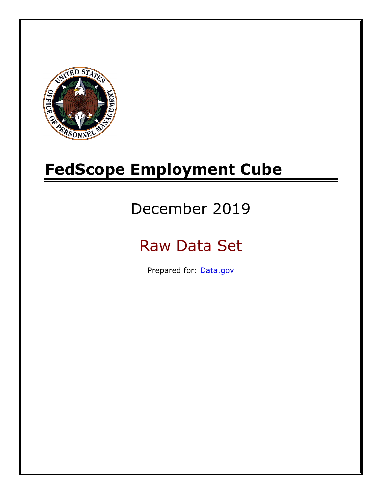

# **FedScope Employment Cube**

# December 2019

# Raw Data Set

Prepared for: [Data.gov](http://www.data.gov/)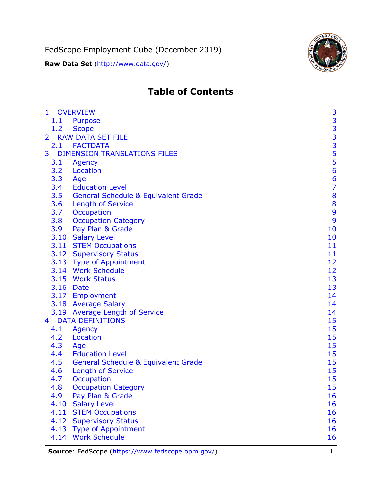FedScope Employment Cube (December 2019)

**Raw Data Set** (http://www.data.gov/)



# **Table of Contents**

| $\mathbf{1}$   | <b>OVERVIEW</b>                                | 3                                          |
|----------------|------------------------------------------------|--------------------------------------------|
| 1.1            | <b>Purpose</b>                                 |                                            |
| 1.2            | <b>Scope</b>                                   |                                            |
| $\overline{2}$ | <b>RAW DATA SET FILE</b>                       | $\begin{array}{c} 3 \\ 3 \\ 3 \end{array}$ |
|                | 2.1 FACTDATA                                   |                                            |
| 3              | <b>DIMENSION TRANSLATIONS FILES</b>            | $\frac{5}{5}$                              |
| 3.1            | Agency                                         |                                            |
| 3.2            | Location                                       | 6                                          |
| 3.3            | Age                                            | $\frac{6}{7}$                              |
| 3.4            | <b>Education Level</b>                         |                                            |
| 3.5            | <b>General Schedule &amp; Equivalent Grade</b> | 8                                          |
| 3.6            | <b>Length of Service</b>                       | 8                                          |
| 3.7            | Occupation                                     | 9                                          |
| 3.8            | <b>Occupation Category</b>                     | 9                                          |
| 3.9            | Pay Plan & Grade                               | 10                                         |
|                | 3.10 Salary Level                              | 10                                         |
|                | 3.11 STEM Occupations                          | 11                                         |
|                | 3.12 Supervisory Status                        | 11                                         |
|                | 3.13 Type of Appointment                       | 12                                         |
|                | 3.14 Work Schedule                             | 12                                         |
|                | 3.15 Work Status                               | 13                                         |
|                | 3.16 Date                                      | 13                                         |
|                | 3.17 Employment                                | 14                                         |
|                | 3.18 Average Salary                            | 14                                         |
|                | 3.19 Average Length of Service                 | 14                                         |
| $\overline{4}$ | <b>DATA DEFINITIONS</b>                        | 15                                         |
| 4.1            | Agency                                         | 15                                         |
| 4.2            | Location                                       | 15                                         |
| 4.3            | Age                                            | 15                                         |
| 4.4            | <b>Education Level</b>                         | 15                                         |
| 4.5            | <b>General Schedule &amp; Equivalent Grade</b> | 15                                         |
| 4.6            | <b>Length of Service</b>                       | 15                                         |
| 4.7            | <b>Occupation</b>                              | 15                                         |
| 4.8            | <b>Occupation Category</b>                     | 15                                         |
| 4.9            | Pay Plan & Grade                               | 16                                         |
| 4.10           | <b>Salary Level</b>                            | 16                                         |
| 4.11           | <b>STEM Occupations</b>                        | 16                                         |
| 4.12           | <b>Supervisory Status</b>                      | 16                                         |
| 4.13           | <b>Type of Appointment</b>                     | 16                                         |
| 4.14           | <b>Work Schedule</b>                           | 16                                         |
|                |                                                |                                            |

**Source**: FedScope [\(https://www.fedscope.opm.gov/\)](https://www.fedscope.opm.gov/) 1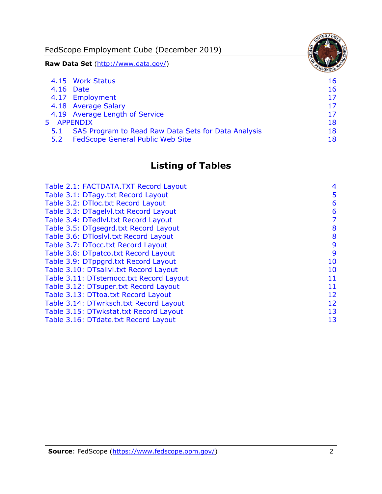FedScope Employment Cube (December 2019) **Raw Data Set** (http://www.data.gov/) 4.15 [Work Status](#page-16-6) 16 4.16 [Date](#page-16-7) 16 and 16 and 16 and 16 and 16 and 16 and 16 and 16 and 16 and 16 and 16 and 16 and 16 and 16 and 16 4.17 [Employment](#page-17-0) 17 4.18 [Average Salary](#page-17-1) 17 4.19 [Average Length of Service](#page-17-2) 17 and 17 5 [APPENDIX](#page-18-0) 18 5.1 [SAS Program to Read Raw Data Sets for Data Analysis](#page-18-1) 18 5.2 [FedScope General Public Web Site](#page-18-2) 18 and 18

## **Listing of Tables**

| Table 2.1: FACTDATA.TXT Record Layout   | 4  |
|-----------------------------------------|----|
| Table 3.1: DTagy.txt Record Layout      | 5  |
| Table 3.2: DTloc.txt Record Layout      | 6  |
| Table 3.3: DTagelvl.txt Record Layout   | 6  |
| Table 3.4: DTedlvl.txt Record Layout    | 7  |
| Table 3.5: DTgsegrd.txt Record Layout   | 8  |
| Table 3.6: DTIoslyl.txt Record Layout   | 8  |
| Table 3.7: DTocc.txt Record Layout      | 9  |
| Table 3.8: DTpatco.txt Record Layout    | 9  |
| Table 3.9: DTppgrd.txt Record Layout    | 10 |
| Table 3.10: DTsallvl.txt Record Layout  | 10 |
| Table 3.11: DTstemocc.txt Record Layout | 11 |
| Table 3.12: DTsuper.txt Record Layout   | 11 |
| Table 3.13: DTtoa.txt Record Layout     | 12 |
| Table 3.14: DTwrksch.txt Record Layout  | 12 |
| Table 3.15: DTwkstat.txt Record Layout  | 13 |
| Table 3.16: DTdate.txt Record Layout    | 13 |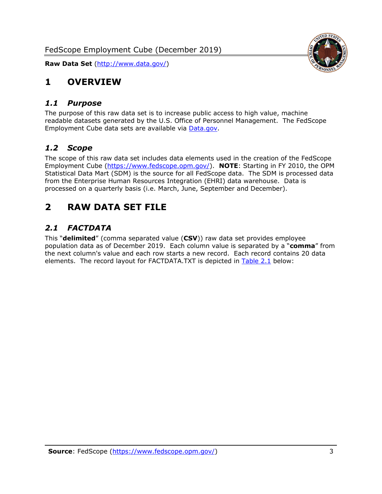

## <span id="page-3-0"></span>**1 OVERVIEW**

#### <span id="page-3-1"></span>*1.1 Purpose*

The purpose of this raw data set is to increase public access to high value, machine readable datasets generated by the U.S. Office of Personnel Management. The FedScope Employment Cube data sets are available via [Data.gov.](http://www.data.gov/)

### <span id="page-3-2"></span>*1.2 Scope*

The scope of this raw data set includes data elements used in the creation of the FedScope Employment Cube [\(https://www.fedscope.opm.gov/\)](https://www.fedscope.opm.gov/). **NOTE**: Starting in FY 2010, the OPM Statistical Data Mart (SDM) is the source for all FedScope data. The SDM is processed data from the Enterprise Human Resources Integration (EHRI) data warehouse. Data is processed on a quarterly basis (i.e. March, June, September and December).

## <span id="page-3-3"></span>**2 RAW DATA SET FILE**

## <span id="page-3-4"></span>*2.1 FACTDATA*

This "**delimited**" (comma separated value (**CSV**)) raw data set provides employee population data as of December 2019. Each column value is separated by a "**comma**" from the next column's value and each row starts a new record. Each record contains 20 data elements. The record layout for FACTDATA.TXT is depicted in [Table 2.1](#page-4-0) below: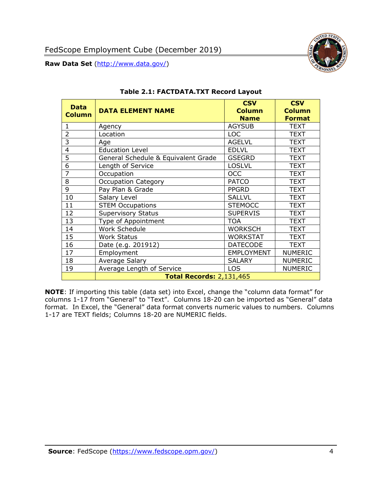

<span id="page-4-0"></span>

| <b>Data</b><br><b>Column</b> | <b>DATA ELEMENT NAME</b>            | <b>CSV</b><br><b>Column</b><br><b>Name</b> | <b>CSV</b><br><b>Column</b><br><b>Format</b> |
|------------------------------|-------------------------------------|--------------------------------------------|----------------------------------------------|
| 1                            | Agency                              | <b>AGYSUB</b>                              | <b>TEXT</b>                                  |
| $\overline{2}$               | Location                            | <b>LOC</b>                                 | <b>TEXT</b>                                  |
| 3                            | Age                                 | <b>AGELVL</b>                              | <b>TEXT</b>                                  |
| $\overline{4}$               | <b>Education Level</b>              | <b>EDLVL</b>                               | <b>TEXT</b>                                  |
| 5                            | General Schedule & Equivalent Grade | <b>GSEGRD</b>                              | <b>TEXT</b>                                  |
| 6                            | Length of Service                   | <b>LOSLVL</b>                              | <b>TEXT</b>                                  |
| 7                            | Occupation                          | <b>OCC</b>                                 | <b>TEXT</b>                                  |
| 8                            | <b>Occupation Category</b>          | <b>PATCO</b>                               | <b>TEXT</b>                                  |
| 9                            | Pay Plan & Grade                    | <b>PPGRD</b>                               | <b>TEXT</b>                                  |
| 10                           | Salary Level                        | <b>SALLVL</b>                              | <b>TEXT</b>                                  |
| 11                           | <b>STEM Occupations</b>             | <b>STEMOCC</b>                             | <b>TEXT</b>                                  |
| 12                           | <b>Supervisory Status</b>           | <b>SUPERVIS</b>                            | <b>TEXT</b>                                  |
| 13                           | Type of Appointment                 | <b>TOA</b>                                 | TEXT                                         |
| 14                           | Work Schedule                       | <b>WORKSCH</b>                             | <b>TEXT</b>                                  |
| 15                           | <b>Work Status</b>                  | <b>WORKSTAT</b>                            | <b>TEXT</b>                                  |
| 16                           | Date (e.g. 201912)                  | <b>DATECODE</b>                            | <b>TEXT</b>                                  |
| 17                           | Employment                          | <b>EMPLOYMENT</b>                          | <b>NUMERIC</b>                               |
| 18                           | Average Salary                      | <b>SALARY</b>                              | <b>NUMERIC</b>                               |
| 19                           | Average Length of Service           | <b>LOS</b>                                 | <b>NUMERIC</b>                               |
|                              | <b>Total Records: 2,131,465</b>     |                                            |                                              |

#### **Table 2.1: FACTDATA.TXT Record Layout**

**NOTE**: If importing this table (data set) into Excel, change the "column data format" for columns 1-17 from "General" to "Text". Columns 18-20 can be imported as "General" data format. In Excel, the "General" data format converts numeric values to numbers. Columns 1-17 are TEXT fields; Columns 18-20 are NUMERIC fields.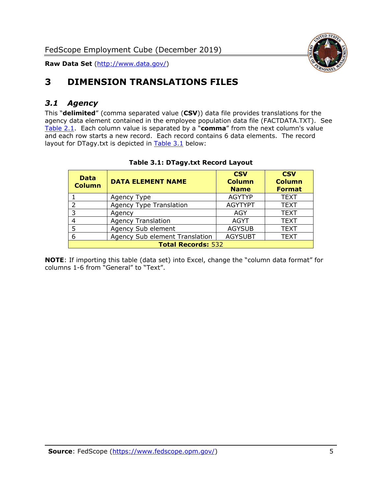

# <span id="page-5-0"></span>**3 DIMENSION TRANSLATIONS FILES**

## <span id="page-5-1"></span>*3.1 Agency*

This "**delimited**" (comma separated value (**CSV**)) data file provides translations for the agency data element contained in the employee population data file (FACTDATA.TXT). See [Table 2.1.](#page-4-0) Each column value is separated by a "**comma**" from the next column's value and each row starts a new record. Each record contains 6 data elements. The record layout for DTagy.txt is depicted in **[Table 3.1](#page-5-2)** below:

<span id="page-5-2"></span>

| <b>Data</b><br><b>Column</b> | <b>DATA ELEMENT NAME</b>       | <b>CSV</b><br><b>Column</b><br><b>Name</b> | <b>CSV</b><br><b>Column</b><br><b>Format</b> |
|------------------------------|--------------------------------|--------------------------------------------|----------------------------------------------|
|                              | Agency Type                    | <b>AGYTYP</b>                              | <b>TEXT</b>                                  |
|                              | <b>Agency Type Translation</b> | <b>AGYTYPT</b>                             | <b>TEXT</b>                                  |
| २                            | Agency                         | AGY                                        | <b>TEXT</b>                                  |
|                              | <b>Agency Translation</b>      | <b>AGYT</b>                                | <b>TEXT</b>                                  |
|                              | Agency Sub element             | <b>AGYSUB</b>                              | <b>TEXT</b>                                  |
| 6                            | Agency Sub element Translation | <b>AGYSUBT</b>                             | <b>TEXT</b>                                  |
| <b>Total Records: 532</b>    |                                |                                            |                                              |

#### **Table 3.1: DTagy.txt Record Layout**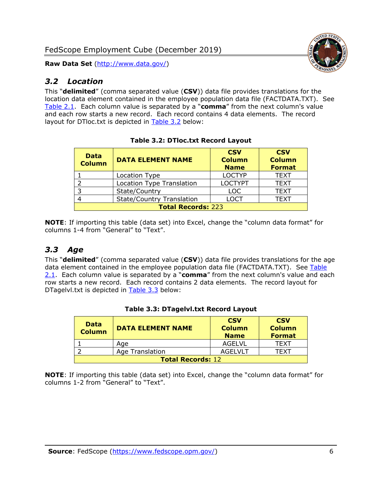## <span id="page-6-0"></span>*3.2 Location*

This "**delimited**" (comma separated value (**CSV**)) data file provides translations for the location data element contained in the employee population data file (FACTDATA.TXT). See [Table 2.1.](#page-4-0) Each column value is separated by a "**comma**" from the next column's value and each row starts a new record. Each record contains 4 data elements. The record layout for DTloc.txt is depicted in [Table 3.2](#page-6-2) below:

<span id="page-6-2"></span>

| <b>Data</b><br><b>Column</b> | <b>DATA ELEMENT NAME</b>         | <b>CSV</b><br><b>Column</b><br><b>Name</b> | <b>CSV</b><br><b>Column</b><br><b>Format</b> |
|------------------------------|----------------------------------|--------------------------------------------|----------------------------------------------|
|                              | Location Type                    | <b>LOCTYP</b>                              | <b>TEXT</b>                                  |
|                              | Location Type Translation        | <b>LOCTYPT</b>                             | <b>TEXT</b>                                  |
|                              | State/Country                    | <b>LOC</b>                                 | <b>TEXT</b>                                  |
|                              | <b>State/Country Translation</b> | LOCT                                       | <b>TEXT</b>                                  |
| <b>Total Records: 223</b>    |                                  |                                            |                                              |

| <b>Table 3.2: DTloc.txt Record Layout</b> |
|-------------------------------------------|
|-------------------------------------------|

**NOTE**: If importing this table (data set) into Excel, change the "column data format" for columns 1-4 from "General" to "Text".

## <span id="page-6-1"></span>*3.3 Age*

This "**delimited**" (comma separated value (**CSV**)) data file provides translations for the age data element contained in the employee population data file (FACTDATA.TXT). See Table [2.1.](#page-4-0) Each column value is separated by a "**comma**" from the next column's value and each row starts a new record. Each record contains 2 data elements. The record layout for DTagelvl.txt is depicted in [Table 3.3](#page-6-3) below:

<span id="page-6-3"></span>

| <b>Data</b><br><b>Column</b> | <b>DATA ELEMENT NAME</b> | <b>CSV</b><br><b>Column</b><br><b>Name</b> | <b>CSV</b><br><b>Column</b><br><b>Format</b> |
|------------------------------|--------------------------|--------------------------------------------|----------------------------------------------|
|                              | Age                      | AGELVL                                     | TFXT                                         |
|                              | Age Translation          | AGEL VLT                                   | TFXT                                         |
| <b>Total Records: 12</b>     |                          |                                            |                                              |

#### **Table 3.3: DTagelvl.txt Record Layout**

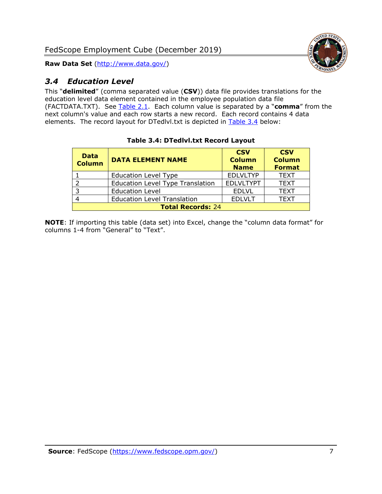

## <span id="page-7-0"></span>*3.4 Education Level*

This "**delimited**" (comma separated value (**CSV**)) data file provides translations for the education level data element contained in the employee population data file (FACTDATA.TXT). See [Table 2.1.](#page-4-0) Each column value is separated by a "**comma**" from the next column's value and each row starts a new record. Each record contains 4 data elements. The record layout for DTedlvl.txt is depicted in [Table 3.4](#page-7-1) below:

<span id="page-7-1"></span>

| <b>Data</b><br><b>Column</b> | <b>DATA ELEMENT NAME</b>                | <b>CSV</b><br><b>Column</b><br><b>Name</b> | <b>CSV</b><br><b>Column</b><br><b>Format</b> |
|------------------------------|-----------------------------------------|--------------------------------------------|----------------------------------------------|
|                              | <b>Education Level Type</b>             | <b>EDLVLTYP</b>                            | <b>TEXT</b>                                  |
| າ                            | <b>Education Level Type Translation</b> | <b>EDLVLTYPT</b>                           | <b>TEXT</b>                                  |
| 3                            | <b>Education Level</b>                  | <b>EDLVL</b>                               | <b>TEXT</b>                                  |
|                              | <b>Education Level Translation</b>      | <b>EDLVLT</b>                              | <b>TEXT</b>                                  |
| <b>Total Records: 24</b>     |                                         |                                            |                                              |

#### **Table 3.4: DTedlvl.txt Record Layout**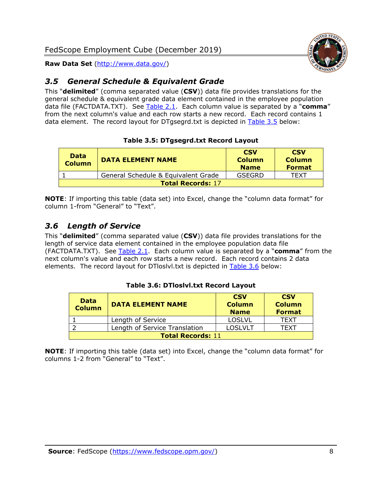

## <span id="page-8-0"></span>*3.5 General Schedule & Equivalent Grade*

This "**delimited**" (comma separated value (**CSV**)) data file provides translations for the general schedule & equivalent grade data element contained in the employee population data file (FACTDATA.TXT). See [Table 2.1.](#page-4-0) Each column value is separated by a "**comma**" from the next column's value and each row starts a new record. Each record contains 1 data element. The record layout for DTgsegrd.txt is depicted in [Table 3.5](#page-8-2) below:

#### **Table 3.5: DTgsegrd.txt Record Layout**

<span id="page-8-2"></span>

| <b>Data</b><br><b>Column</b> | <b>DATA ELEMENT NAME</b>            | <b>CSV</b><br><b>Column</b><br><b>Name</b> | <b>CSV</b><br><b>Column</b><br><b>Format</b> |
|------------------------------|-------------------------------------|--------------------------------------------|----------------------------------------------|
|                              | General Schedule & Equivalent Grade | GSEGRD                                     | TFXT                                         |
| <b>Total Records: 17</b>     |                                     |                                            |                                              |

**NOTE**: If importing this table (data set) into Excel, change the "column data format" for column 1-from "General" to "Text".

## <span id="page-8-1"></span>*3.6 Length of Service*

This "**delimited**" (comma separated value (**CSV**)) data file provides translations for the length of service data element contained in the employee population data file (FACTDATA.TXT). See [Table 2.1.](#page-4-0) Each column value is separated by a "**comma**" from the next column's value and each row starts a new record. Each record contains 2 data elements. The record layout for DTloslvl.txt is depicted in [Table 3.6](#page-8-3) below:

#### **Table 3.6: DTloslvl.txt Record Layout**

<span id="page-8-3"></span>

| <b>Data</b><br><b>Column</b> | <b>DATA ELEMENT NAME</b>      | <b>CSV</b><br><b>Column</b><br><b>Name</b> | <b>CSV</b><br><b>Column</b><br><b>Format</b> |
|------------------------------|-------------------------------|--------------------------------------------|----------------------------------------------|
|                              | Length of Service             | <b>LOSLVL</b>                              | TFXT                                         |
|                              | Length of Service Translation | <b>LOSLVLT</b>                             | TFXT                                         |
| <b>Total Records: 11</b>     |                               |                                            |                                              |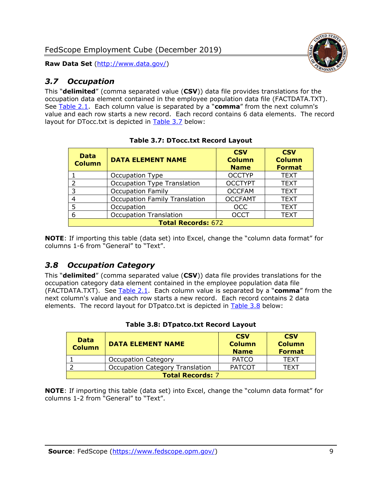

## <span id="page-9-0"></span>*3.7 Occupation*

This "**delimited**" (comma separated value (**CSV**)) data file provides translations for the occupation data element contained in the employee population data file (FACTDATA.TXT). See [Table 2.1.](#page-4-0) Each column value is separated by a "**comma**" from the next column's value and each row starts a new record. Each record contains 6 data elements. The record layout for DTocc.txt is depicted in [Table 3.7](#page-9-2) below:

<span id="page-9-2"></span>

| <b>Data</b><br><b>Column</b> | <b>DATA ELEMENT NAME</b>             | <b>CSV</b><br><b>Column</b><br><b>Name</b> | <b>CSV</b><br><b>Column</b><br><b>Format</b> |
|------------------------------|--------------------------------------|--------------------------------------------|----------------------------------------------|
|                              | Occupation Type                      | <b>OCCTYP</b>                              | <b>TEXT</b>                                  |
| $\overline{2}$               | Occupation Type Translation          | <b>OCCTYPT</b>                             | <b>TEXT</b>                                  |
| 3                            | <b>Occupation Family</b>             | <b>OCCFAM</b>                              | <b>TEXT</b>                                  |
| 4                            | <b>Occupation Family Translation</b> | <b>OCCFAMT</b>                             | <b>TEXT</b>                                  |
| 5                            | Occupation                           | <b>OCC</b>                                 | <b>TEXT</b>                                  |
| 6                            | <b>Occupation Translation</b>        | <b>OCCT</b>                                | <b>TEXT</b>                                  |
| <b>Total Records: 672</b>    |                                      |                                            |                                              |

**NOTE**: If importing this table (data set) into Excel, change the "column data format" for columns 1-6 from "General" to "Text".

## <span id="page-9-1"></span>*3.8 Occupation Category*

This "**delimited**" (comma separated value (**CSV**)) data file provides translations for the occupation category data element contained in the employee population data file (FACTDATA.TXT). See [Table 2.1.](#page-4-0) Each column value is separated by a "**comma**" from the next column's value and each row starts a new record. Each record contains 2 data elements. The record layout for DTpatco.txt is depicted in [Table 3.8](#page-9-3) below:

<span id="page-9-3"></span>

| Data<br><b>Column</b>   | <b>DATA ELEMENT NAME</b>               | <b>CSV</b><br><b>Column</b><br><b>Name</b> | <b>CSV</b><br><b>Column</b><br><b>Format</b> |
|-------------------------|----------------------------------------|--------------------------------------------|----------------------------------------------|
|                         | <b>Occupation Category</b>             | <b>PATCO</b>                               | <b>TEXT</b>                                  |
|                         | <b>Occupation Category Translation</b> | <b>PATCOT</b>                              | <b>TFXT</b>                                  |
| <b>Total Records: 7</b> |                                        |                                            |                                              |

|  |  | Table 3.8: DTpatco.txt Record Layout |  |
|--|--|--------------------------------------|--|
|  |  |                                      |  |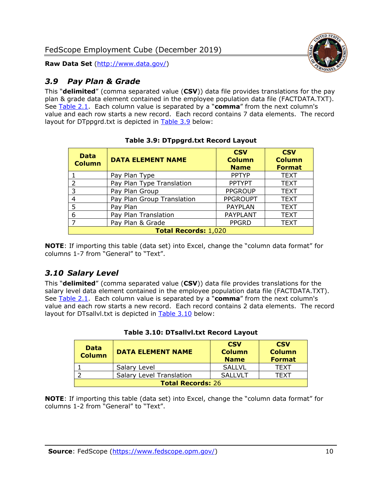

## <span id="page-10-0"></span>*3.9 Pay Plan & Grade*

This "**delimited**" (comma separated value (**CSV**)) data file provides translations for the pay plan & grade data element contained in the employee population data file (FACTDATA.TXT). See [Table 2.1.](#page-4-0) Each column value is separated by a "**comma**" from the next column's value and each row starts a new record. Each record contains 7 data elements. The record layout for DTppgrd.txt is depicted in [Table 3.9](#page-10-2) below:

<span id="page-10-2"></span>

| <b>Data</b><br><b>Column</b> | <b>DATA ELEMENT NAME</b>   | <b>CSV</b><br><b>Column</b><br><b>Name</b> | <b>CSV</b><br><b>Column</b><br><b>Format</b> |
|------------------------------|----------------------------|--------------------------------------------|----------------------------------------------|
|                              | Pay Plan Type              | <b>PPTYP</b>                               | <b>TEXT</b>                                  |
| $\overline{2}$               | Pay Plan Type Translation  | <b>PPTYPT</b>                              | <b>TEXT</b>                                  |
| 3                            | Pay Plan Group             | <b>PPGROUP</b>                             | <b>TEXT</b>                                  |
| 4                            | Pay Plan Group Translation | <b>PPGROUPT</b>                            | <b>TEXT</b>                                  |
| 5                            | Pay Plan                   | <b>PAYPLAN</b>                             | <b>TEXT</b>                                  |
| 6                            | Pay Plan Translation       | PAYPLANT                                   | <b>TEXT</b>                                  |
| $\overline{7}$               | Pay Plan & Grade           | <b>PPGRD</b>                               | <b>TEXT</b>                                  |
| <b>Total Records: 1,020</b>  |                            |                                            |                                              |

**Table 3.9: DTppgrd.txt Record Layout**

**NOTE**: If importing this table (data set) into Excel, change the "column data format" for columns 1-7 from "General" to "Text".

## <span id="page-10-1"></span>*3.10 Salary Level*

This "**delimited**" (comma separated value (**CSV**)) data file provides translations for the salary level data element contained in the employee population data file (FACTDATA.TXT). See [Table 2.1.](#page-4-0) Each column value is separated by a "**comma**" from the next column's value and each row starts a new record. Each record contains 2 data elements. The record layout for DTsallvl.txt is depicted in [Table 3.10](#page-10-3) below:

<span id="page-10-3"></span>

| <b>Data</b><br><b>Column</b> | <b>DATA ELEMENT NAME</b>        | <b>CSV</b><br><b>Column</b><br><b>Name</b> | <b>CSV</b><br><b>Column</b><br><b>Format</b> |
|------------------------------|---------------------------------|--------------------------------------------|----------------------------------------------|
|                              | Salary Level                    | <b>SALLVL</b>                              | <b>TFXT</b>                                  |
|                              | <b>Salary Level Translation</b> | SALLVLT                                    | TFXT                                         |
| <b>Total Records: 26</b>     |                                 |                                            |                                              |

|  |  | Table 3.10: DTsallvl.txt Record Layout |  |
|--|--|----------------------------------------|--|
|--|--|----------------------------------------|--|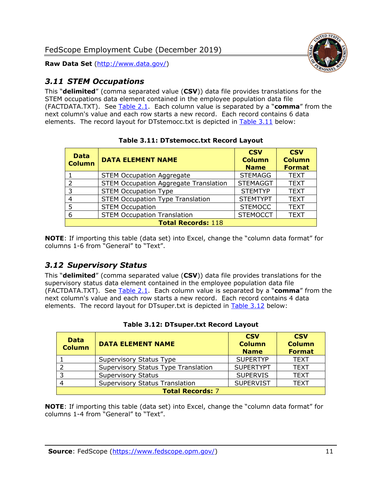

## <span id="page-11-0"></span>*3.11 STEM Occupations*

This "**delimited**" (comma separated value (**CSV**)) data file provides translations for the STEM occupations data element contained in the employee population data file (FACTDATA.TXT). See [Table 2.1.](#page-4-0) Each column value is separated by a "**comma**" from the next column's value and each row starts a new record. Each record contains 6 data elements. The record layout for DTstemocc.txt is depicted in [Table 3.11](#page-11-2) below:

<span id="page-11-2"></span>

| <b>Data</b><br><b>Column</b> | <b>DATA ELEMENT NAME</b>                     | <b>CSV</b><br><b>Column</b><br><b>Name</b> | <b>CSV</b><br><b>Column</b><br><b>Format</b> |  |  |
|------------------------------|----------------------------------------------|--------------------------------------------|----------------------------------------------|--|--|
|                              | <b>STEM Occupation Aggregate</b>             | <b>STEMAGG</b>                             | <b>TEXT</b>                                  |  |  |
| $\mathcal{P}$                | <b>STEM Occupation Aggregate Translation</b> | <b>STEMAGGT</b>                            | <b>TEXT</b>                                  |  |  |
| 3                            | <b>STEM Occupation Type</b>                  | <b>STEMTYP</b>                             | <b>TEXT</b>                                  |  |  |
| 4                            | <b>STEM Occupation Type Translation</b>      | <b>STEMTYPT</b>                            | <b>TEXT</b>                                  |  |  |
| 5                            | <b>STEM Occupation</b>                       | <b>STEMOCC</b>                             | <b>TEXT</b>                                  |  |  |
| 6                            | <b>STEM Occupation Translation</b>           | <b>STEMOCCT</b>                            | <b>TEXT</b>                                  |  |  |
|                              | <b>Total Records: 118</b>                    |                                            |                                              |  |  |

**Table 3.11: DTstemocc.txt Record Layout**

**NOTE**: If importing this table (data set) into Excel, change the "column data format" for columns 1-6 from "General" to "Text".

## <span id="page-11-1"></span>*3.12 Supervisory Status*

This "**delimited**" (comma separated value (**CSV**)) data file provides translations for the supervisory status data element contained in the employee population data file (FACTDATA.TXT). See [Table 2.1.](#page-4-0) Each column value is separated by a "**comma**" from the next column's value and each row starts a new record. Each record contains 4 data elements. The record layout for DTsuper.txt is depicted in [Table 3.12](#page-11-3) below:

<span id="page-11-3"></span>

| <b>Data</b><br><b>Column</b> | <b>DATA ELEMENT NAME</b>              | <b>CSV</b><br><b>Column</b><br><b>Name</b> | <b>CSV</b><br><b>Column</b><br><b>Format</b> |
|------------------------------|---------------------------------------|--------------------------------------------|----------------------------------------------|
|                              | Supervisory Status Type               | <b>SUPERTYP</b>                            | <b>TEXT</b>                                  |
|                              | Supervisory Status Type Translation   | <b>SUPERTYPT</b>                           | <b>TEXT</b>                                  |
|                              | <b>Supervisory Status</b>             | <b>SUPERVIS</b>                            | <b>TEXT</b>                                  |
|                              | <b>Supervisory Status Translation</b> | <b>SUPERVIST</b>                           | <b>TEXT</b>                                  |
| <b>Total Records: 7</b>      |                                       |                                            |                                              |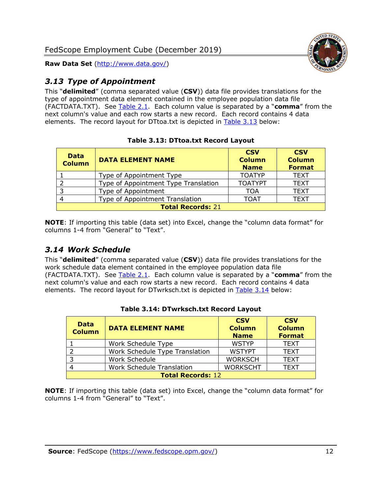

## <span id="page-12-0"></span>*3.13 Type of Appointment*

This "**delimited**" (comma separated value (**CSV**)) data file provides translations for the type of appointment data element contained in the employee population data file (FACTDATA.TXT). See [Table 2.1.](#page-4-0) Each column value is separated by a "**comma**" from the next column's value and each row starts a new record. Each record contains 4 data elements. The record layout for DTtoa.txt is depicted in [Table 3.13](#page-12-2) below:

<span id="page-12-2"></span>

| <b>Data</b><br><b>Column</b> | <b>DATA ELEMENT NAME</b>             | <b>CSV</b><br><b>Column</b><br><b>Name</b> | <b>CSV</b><br><b>Column</b><br><b>Format</b> |
|------------------------------|--------------------------------------|--------------------------------------------|----------------------------------------------|
|                              | Type of Appointment Type             | <b>TOATYP</b>                              | <b>TEXT</b>                                  |
|                              | Type of Appointment Type Translation | <b>TOATYPT</b>                             | <b>TEXT</b>                                  |
| 3                            | Type of Appointment                  | TOA                                        | <b>TEXT</b>                                  |
|                              | Type of Appointment Translation      | <b>TOAT</b>                                | <b>TEXT</b>                                  |
| <b>Total Records: 21</b>     |                                      |                                            |                                              |

#### **Table 3.13: DTtoa.txt Record Layout**

**NOTE**: If importing this table (data set) into Excel, change the "column data format" for columns 1-4 from "General" to "Text".

## <span id="page-12-1"></span>*3.14 Work Schedule*

This "**delimited**" (comma separated value (**CSV**)) data file provides translations for the work schedule data element contained in the employee population data file (FACTDATA.TXT). See [Table 2.1.](#page-4-0) Each column value is separated by a "**comma**" from the next column's value and each row starts a new record. Each record contains 4 data elements. The record layout for DTwrksch.txt is depicted in [Table 3.14](#page-12-3) below:

<span id="page-12-3"></span>

| <b>Data</b><br><b>Column</b> | <b>DATA ELEMENT NAME</b>         | <b>CSV</b><br><b>Column</b><br><b>Name</b> | <b>CSV</b><br><b>Column</b><br><b>Format</b> |
|------------------------------|----------------------------------|--------------------------------------------|----------------------------------------------|
|                              | Work Schedule Type               | <b>WSTYP</b>                               | <b>TEXT</b>                                  |
|                              | Work Schedule Type Translation   | <b>WSTYPT</b>                              | <b>TEXT</b>                                  |
| $\overline{3}$               | Work Schedule                    | <b>WORKSCH</b>                             | <b>TEXT</b>                                  |
|                              | <b>Work Schedule Translation</b> | <b>WORKSCHT</b>                            | <b>TEXT</b>                                  |
| <b>Total Records: 12</b>     |                                  |                                            |                                              |

#### **Table 3.14: DTwrksch.txt Record Layout**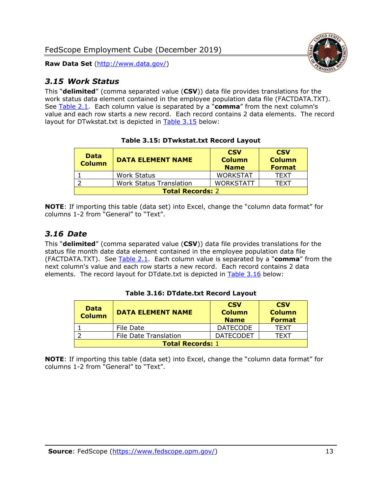

### <span id="page-13-0"></span>*3.15 Work Status*

This "**delimited**" (comma separated value (**CSV**)) data file provides translations for the work status data element contained in the employee population data file (FACTDATA.TXT). See [Table 2.1.](#page-4-0) Each column value is separated by a "**comma**" from the next column's value and each row starts a new record. Each record contains 2 data elements. The record layout for DTwkstat.txt is depicted in [Table 3.15](#page-13-2) below:

<span id="page-13-2"></span>

| <b>Data</b><br><b>Column</b> | <b>DATA ELEMENT NAME</b>       | <b>CSV</b><br><b>Column</b><br><b>Name</b> | <b>CSV</b><br><b>Column</b><br><b>Format</b> |
|------------------------------|--------------------------------|--------------------------------------------|----------------------------------------------|
|                              | <b>Work Status</b>             | <b>WORKSTAT</b>                            | <b>TFXT</b>                                  |
|                              | <b>Work Status Translation</b> | <b>WORKSTATT</b>                           | TFXT                                         |
| <b>Total Records: 2</b>      |                                |                                            |                                              |

#### **Table 3.15: DTwkstat.txt Record Layout**

**NOTE**: If importing this table (data set) into Excel, change the "column data format" for columns 1-2 from "General" to "Text".

#### <span id="page-13-1"></span>*3.16 Date*

This "**delimited**" (comma separated value (**CSV**)) data file provides translations for the status file month date data element contained in the employee population data file (FACTDATA.TXT). See [Table 2.1.](#page-4-0) Each column value is separated by a "**comma**" from the next column's value and each row starts a new record. Each record contains 2 data elements. The record layout for DTdate.txt is depicted in [Table 3.16](#page-13-3) below:

<span id="page-13-3"></span>

| <b>Data</b><br><b>Column</b> | <b>DATA ELEMENT NAME</b> | <b>CSV</b><br><b>Column</b><br><b>Name</b> | <b>CSV</b><br><b>Column</b><br><b>Format</b> |
|------------------------------|--------------------------|--------------------------------------------|----------------------------------------------|
|                              | File Date                | <b>DATECODE</b>                            | TFXT                                         |
|                              | File Date Translation    | <b>DATECODET</b>                           | TFXT                                         |
| <b>Total Records: 1</b>      |                          |                                            |                                              |

#### **Table 3.16: DTdate.txt Record Layout**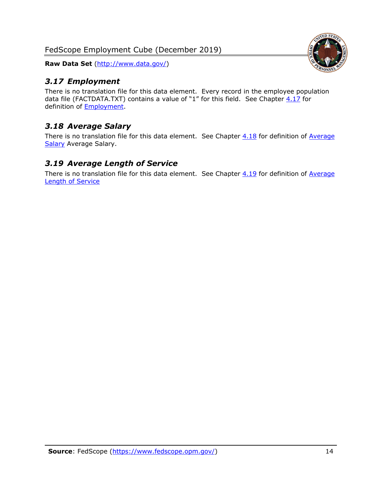FedScope Employment Cube (December 2019)

**Raw Data Set** (http://www.data.gov/)

## <span id="page-14-0"></span>*3.17 Employment*

There is no translation file for this data element. Every record in the employee population data file (FACTDATA.TXT) contains a value of "1" for this field. See Chapter  $4.17$  for definition of **Employment**.

## <span id="page-14-1"></span>*3.18 Average Salary*

There is no translation file for this data element. See Chapter  $4.18$  for definition of Average [Salary](#page-17-1) [Average Salary.](#page-17-1)

### <span id="page-14-2"></span>*3.19 Average Length of Service*

There is no translation file for this data element. See Chapter  $4.19$  for definition of Average [Length of Service](#page-17-2)

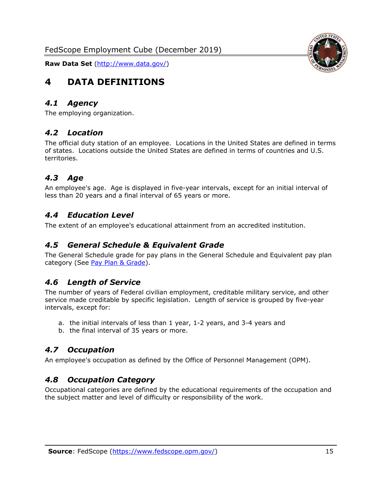<span id="page-15-0"></span>

#### <span id="page-15-1"></span>*4.1 Agency*

<span id="page-15-2"></span>The employing organization.

#### *4.2 Location*

The official duty station of an employee. Locations in the United States are defined in terms of states. Locations outside the United States are defined in terms of countries and U.S. territories.

## <span id="page-15-3"></span>*4.3 Age*

An employee's age. Age is displayed in five-year intervals, except for an initial interval of less than 20 years and a final interval of 65 years or more.

#### <span id="page-15-4"></span>*4.4 Education Level*

<span id="page-15-5"></span>The extent of an employee's educational attainment from an accredited institution.

#### *4.5 General Schedule & Equivalent Grade*

The General Schedule grade for pay plans in the General Schedule and Equivalent pay plan category (See [Pay Plan & Grade\)](#page-16-0).

#### <span id="page-15-6"></span>*4.6 Length of Service*

The number of years of Federal civilian employment, creditable military service, and other service made creditable by specific legislation. Length of service is grouped by five-year intervals, except for:

- a. the initial intervals of less than 1 year, 1-2 years, and 3-4 years and
- b. the final interval of 35 years or more.

#### <span id="page-15-7"></span>*4.7 Occupation*

<span id="page-15-8"></span>An employee's occupation as defined by the Office of Personnel Management (OPM).

#### *4.8 Occupation Category*

Occupational categories are defined by the educational requirements of the occupation and the subject matter and level of difficulty or responsibility of the work.

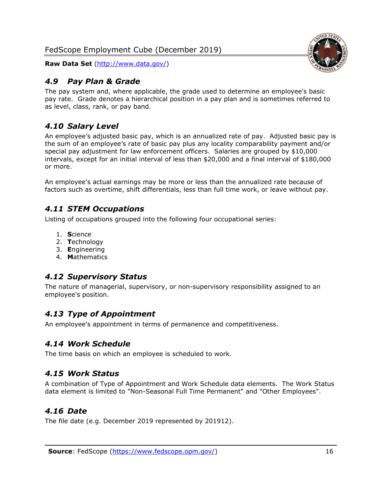## <span id="page-16-0"></span>*4.9 Pay Plan & Grade*

The pay system and, where applicable, the grade used to determine an employee's basic pay rate. Grade denotes a hierarchical position in a pay plan and is sometimes referred to as level, class, rank, or pay band.

## <span id="page-16-1"></span>*4.10 Salary Level*

An employee's adjusted basic pay, which is an annualized rate of pay. Adjusted basic pay is the sum of an employee's rate of basic pay plus any locality comparability payment and/or special pay adjustment for law enforcement officers. Salaries are grouped by \$10,000 intervals, except for an initial interval of less than \$20,000 and a final interval of \$180,000 or more.

An employee's actual earnings may be more or less than the annualized rate because of factors such as overtime, shift differentials, less than full time work, or leave without pay.

## <span id="page-16-2"></span>*4.11 STEM Occupations*

Listing of occupations grouped into the following four occupational series:

- 1. **S**cience
- 2. **T**echnology
- 3. **E**ngineering
- 4. **M**athematics

## <span id="page-16-3"></span>*4.12 Supervisory Status*

The nature of managerial, supervisory, or non-supervisory responsibility assigned to an employee's position.

## <span id="page-16-4"></span>*4.13 Type of Appointment*

<span id="page-16-5"></span>An employee's appointment in terms of permanence and competitiveness.

#### *4.14 Work Schedule*

<span id="page-16-6"></span>The time basis on which an employee is scheduled to work.

## *4.15 Work Status*

A combination of Type of Appointment and Work Schedule data elements. The Work Status data element is limited to "Non-Seasonal Full Time Permanent" and "Other Employees".

## <span id="page-16-7"></span>*4.16 Date*

<span id="page-16-8"></span>The file date (e.g. December 2019 represented by 201912).

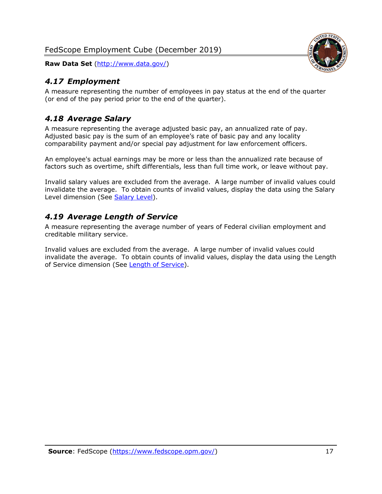<span id="page-17-0"></span>

A measure representing the number of employees in pay status at the end of the quarter (or end of the pay period prior to the end of the quarter).

## <span id="page-17-1"></span>*4.18 Average Salary*

A measure representing the average adjusted basic pay, an annualized rate of pay. Adjusted basic pay is the sum of an employee's rate of basic pay and any locality comparability payment and/or special pay adjustment for law enforcement officers.

An employee's actual earnings may be more or less than the annualized rate because of factors such as overtime, shift differentials, less than full time work, or leave without pay.

Invalid salary values are excluded from the average. A large number of invalid values could invalidate the average. To obtain counts of invalid values, display the data using the Salary Level dimension (See [Salary Level\)](#page-16-1).

## <span id="page-17-2"></span>*4.19 Average Length of Service*

A measure representing the average number of years of Federal civilian employment and creditable military service.

Invalid values are excluded from the average. A large number of invalid values could invalidate the average. To obtain counts of invalid values, display the data using the Length of Service dimension (See [Length of Service\)](#page-15-6).